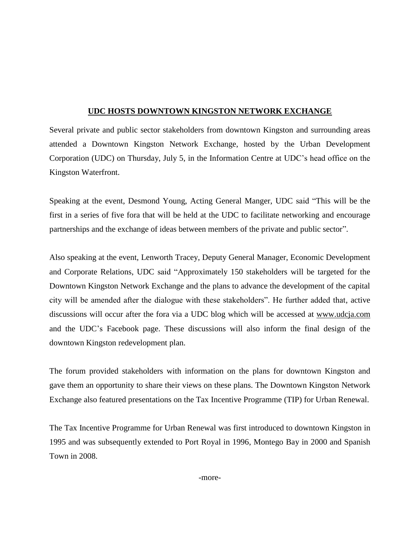## **UDC HOSTS DOWNTOWN KINGSTON NETWORK EXCHANGE**

Several private and public sector stakeholders from downtown Kingston and surrounding areas attended a Downtown Kingston Network Exchange, hosted by the Urban Development Corporation (UDC) on Thursday, July 5, in the Information Centre at UDC's head office on the Kingston Waterfront.

Speaking at the event, Desmond Young, Acting General Manger, UDC said "This will be the first in a series of five fora that will be held at the UDC to facilitate networking and encourage partnerships and the exchange of ideas between members of the private and public sector".

Also speaking at the event, Lenworth Tracey, Deputy General Manager, Economic Development and Corporate Relations, UDC said "Approximately 150 stakeholders will be targeted for the Downtown Kingston Network Exchange and the plans to advance the development of the capital city will be amended after the dialogue with these stakeholders". He further added that, active discussions will occur after the fora via a UDC blog which will be accessed at [www.udcja.com](http://www.udcja.com/) and the UDC's Facebook page. These discussions will also inform the final design of the downtown Kingston redevelopment plan.

The forum provided stakeholders with information on the plans for downtown Kingston and gave them an opportunity to share their views on these plans. The Downtown Kingston Network Exchange also featured presentations on the Tax Incentive Programme (TIP) for Urban Renewal.

The Tax Incentive Programme for Urban Renewal was first introduced to downtown Kingston in 1995 and was subsequently extended to Port Royal in 1996, Montego Bay in 2000 and Spanish Town in 2008.